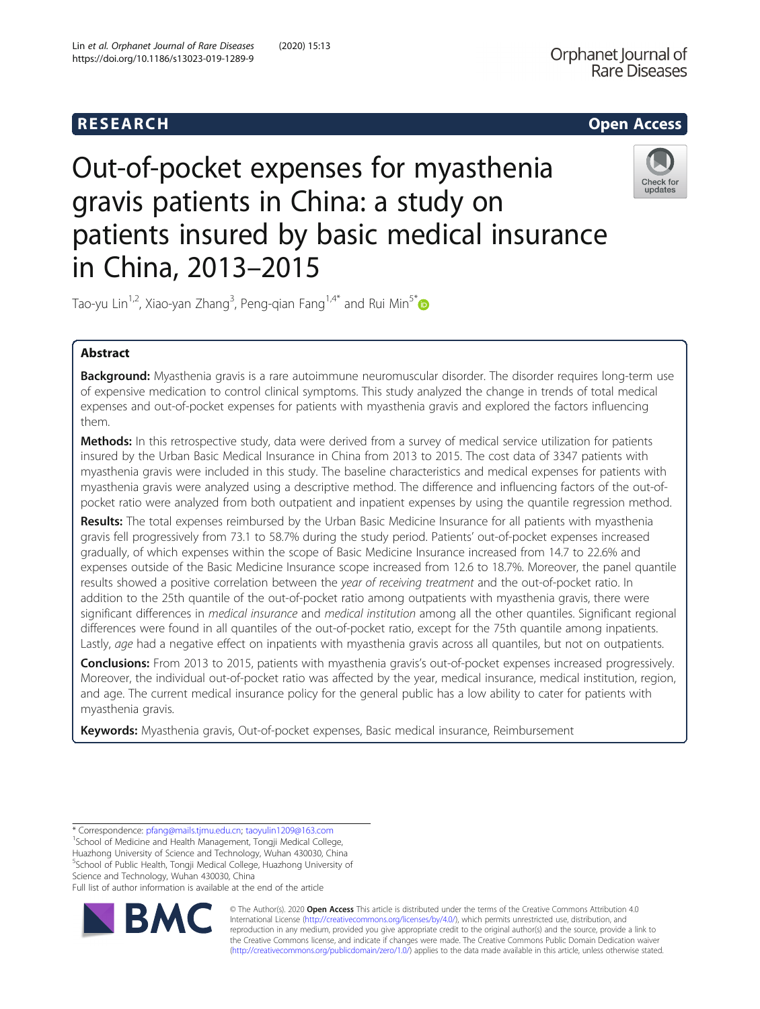

# Out-of-pocket expenses for myasthenia gravis patients in China: a study on patients insured by basic medical insurance in China, 2013–2015



Tao-yu Lin<sup>1,2</sup>, Xiao-yan Zhang<sup>3</sup>, Peng-qian Fang<sup>1,4\*</sup> and Rui Min<sup>5\*</sup>

# Abstract

Background: Myasthenia gravis is a rare autoimmune neuromuscular disorder. The disorder requires long-term use of expensive medication to control clinical symptoms. This study analyzed the change in trends of total medical expenses and out-of-pocket expenses for patients with myasthenia gravis and explored the factors influencing them.

Methods: In this retrospective study, data were derived from a survey of medical service utilization for patients insured by the Urban Basic Medical Insurance in China from 2013 to 2015. The cost data of 3347 patients with myasthenia gravis were included in this study. The baseline characteristics and medical expenses for patients with myasthenia gravis were analyzed using a descriptive method. The difference and influencing factors of the out-ofpocket ratio were analyzed from both outpatient and inpatient expenses by using the quantile regression method.

Results: The total expenses reimbursed by the Urban Basic Medicine Insurance for all patients with myasthenia gravis fell progressively from 73.1 to 58.7% during the study period. Patients' out-of-pocket expenses increased gradually, of which expenses within the scope of Basic Medicine Insurance increased from 14.7 to 22.6% and expenses outside of the Basic Medicine Insurance scope increased from 12.6 to 18.7%. Moreover, the panel quantile results showed a positive correlation between the year of receiving treatment and the out-of-pocket ratio. In addition to the 25th quantile of the out-of-pocket ratio among outpatients with myasthenia gravis, there were significant differences in *medical insurance* and *medical institution* among all the other quantiles. Significant regional differences were found in all quantiles of the out-of-pocket ratio, except for the 75th quantile among inpatients. Lastly, age had a negative effect on inpatients with myasthenia gravis across all quantiles, but not on outpatients.

Conclusions: From 2013 to 2015, patients with myasthenia gravis's out-of-pocket expenses increased progressively. Moreover, the individual out-of-pocket ratio was affected by the year, medical insurance, medical institution, region, and age. The current medical insurance policy for the general public has a low ability to cater for patients with myasthenia gravis.

Keywords: Myasthenia gravis, Out-of-pocket expenses, Basic medical insurance, Reimbursement

<sup>1</sup>School of Medicine and Health Management, Tongji Medical College, Huazhong University of Science and Technology, Wuhan 430030, China 5 School of Public Health, Tongji Medical College, Huazhong University of Science and Technology, Wuhan 430030, China

Full list of author information is available at the end of the article



© The Author(s). 2020 **Open Access** This article is distributed under the terms of the Creative Commons Attribution 4.0 International License [\(http://creativecommons.org/licenses/by/4.0/](http://creativecommons.org/licenses/by/4.0/)), which permits unrestricted use, distribution, and reproduction in any medium, provided you give appropriate credit to the original author(s) and the source, provide a link to the Creative Commons license, and indicate if changes were made. The Creative Commons Public Domain Dedication waiver [\(http://creativecommons.org/publicdomain/zero/1.0/](http://creativecommons.org/publicdomain/zero/1.0/)) applies to the data made available in this article, unless otherwise stated.

<sup>\*</sup> Correspondence: [pfang@mails.tjmu.edu.cn](mailto:pfang@mails.tjmu.edu.cn); [taoyulin1209@163.com](mailto:taoyulin1209@163.com) <sup>1</sup>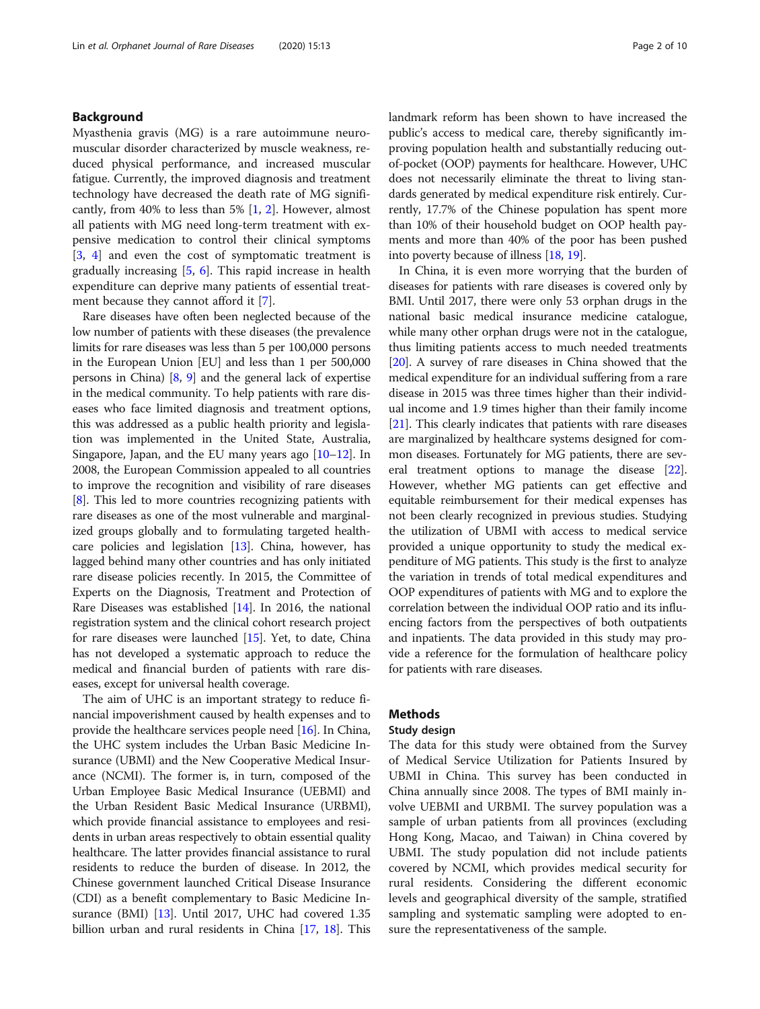# Background

Myasthenia gravis (MG) is a rare autoimmune neuromuscular disorder characterized by muscle weakness, reduced physical performance, and increased muscular fatigue. Currently, the improved diagnosis and treatment technology have decreased the death rate of MG significantly, from 40% to less than 5%  $[1, 2]$  $[1, 2]$  $[1, 2]$  $[1, 2]$  $[1, 2]$ . However, almost all patients with MG need long-term treatment with expensive medication to control their clinical symptoms [[3,](#page-8-0) [4\]](#page-8-0) and even the cost of symptomatic treatment is gradually increasing [[5,](#page-8-0) [6](#page-8-0)]. This rapid increase in health expenditure can deprive many patients of essential treatment because they cannot afford it [[7](#page-8-0)].

Rare diseases have often been neglected because of the low number of patients with these diseases (the prevalence limits for rare diseases was less than 5 per 100,000 persons in the European Union [EU] and less than 1 per 500,000 persons in China)  $\left[8, 9\right]$  $\left[8, 9\right]$  $\left[8, 9\right]$  and the general lack of expertise in the medical community. To help patients with rare diseases who face limited diagnosis and treatment options, this was addressed as a public health priority and legislation was implemented in the United State, Australia, Singapore, Japan, and the EU many years ago [\[10](#page-8-0)–[12](#page-8-0)]. In 2008, the European Commission appealed to all countries to improve the recognition and visibility of rare diseases [[8\]](#page-8-0). This led to more countries recognizing patients with rare diseases as one of the most vulnerable and marginalized groups globally and to formulating targeted healthcare policies and legislation [[13](#page-8-0)]. China, however, has lagged behind many other countries and has only initiated rare disease policies recently. In 2015, the Committee of Experts on the Diagnosis, Treatment and Protection of Rare Diseases was established [\[14](#page-9-0)]. In 2016, the national registration system and the clinical cohort research project for rare diseases were launched [[15](#page-9-0)]. Yet, to date, China has not developed a systematic approach to reduce the medical and financial burden of patients with rare diseases, except for universal health coverage.

The aim of UHC is an important strategy to reduce financial impoverishment caused by health expenses and to provide the healthcare services people need [[16](#page-9-0)]. In China, the UHC system includes the Urban Basic Medicine Insurance (UBMI) and the New Cooperative Medical Insurance (NCMI). The former is, in turn, composed of the Urban Employee Basic Medical Insurance (UEBMI) and the Urban Resident Basic Medical Insurance (URBMI), which provide financial assistance to employees and residents in urban areas respectively to obtain essential quality healthcare. The latter provides financial assistance to rural residents to reduce the burden of disease. In 2012, the Chinese government launched Critical Disease Insurance (CDI) as a benefit complementary to Basic Medicine Insurance (BMI) [[13](#page-8-0)]. Until 2017, UHC had covered 1.35 billion urban and rural residents in China [\[17,](#page-9-0) [18](#page-9-0)]. This landmark reform has been shown to have increased the public's access to medical care, thereby significantly improving population health and substantially reducing outof-pocket (OOP) payments for healthcare. However, UHC does not necessarily eliminate the threat to living standards generated by medical expenditure risk entirely. Currently, 17.7% of the Chinese population has spent more than 10% of their household budget on OOP health payments and more than 40% of the poor has been pushed into poverty because of illness [\[18,](#page-9-0) [19](#page-9-0)].

In China, it is even more worrying that the burden of diseases for patients with rare diseases is covered only by BMI. Until 2017, there were only 53 orphan drugs in the national basic medical insurance medicine catalogue, while many other orphan drugs were not in the catalogue, thus limiting patients access to much needed treatments [[20](#page-9-0)]. A survey of rare diseases in China showed that the medical expenditure for an individual suffering from a rare disease in 2015 was three times higher than their individual income and 1.9 times higher than their family income [[21](#page-9-0)]. This clearly indicates that patients with rare diseases are marginalized by healthcare systems designed for common diseases. Fortunately for MG patients, there are several treatment options to manage the disease [[22](#page-9-0)]. However, whether MG patients can get effective and equitable reimbursement for their medical expenses has not been clearly recognized in previous studies. Studying the utilization of UBMI with access to medical service provided a unique opportunity to study the medical expenditure of MG patients. This study is the first to analyze the variation in trends of total medical expenditures and OOP expenditures of patients with MG and to explore the correlation between the individual OOP ratio and its influencing factors from the perspectives of both outpatients and inpatients. The data provided in this study may provide a reference for the formulation of healthcare policy for patients with rare diseases.

# Methods

# Study design

The data for this study were obtained from the Survey of Medical Service Utilization for Patients Insured by UBMI in China. This survey has been conducted in China annually since 2008. The types of BMI mainly involve UEBMI and URBMI. The survey population was a sample of urban patients from all provinces (excluding Hong Kong, Macao, and Taiwan) in China covered by UBMI. The study population did not include patients covered by NCMI, which provides medical security for rural residents. Considering the different economic levels and geographical diversity of the sample, stratified sampling and systematic sampling were adopted to ensure the representativeness of the sample.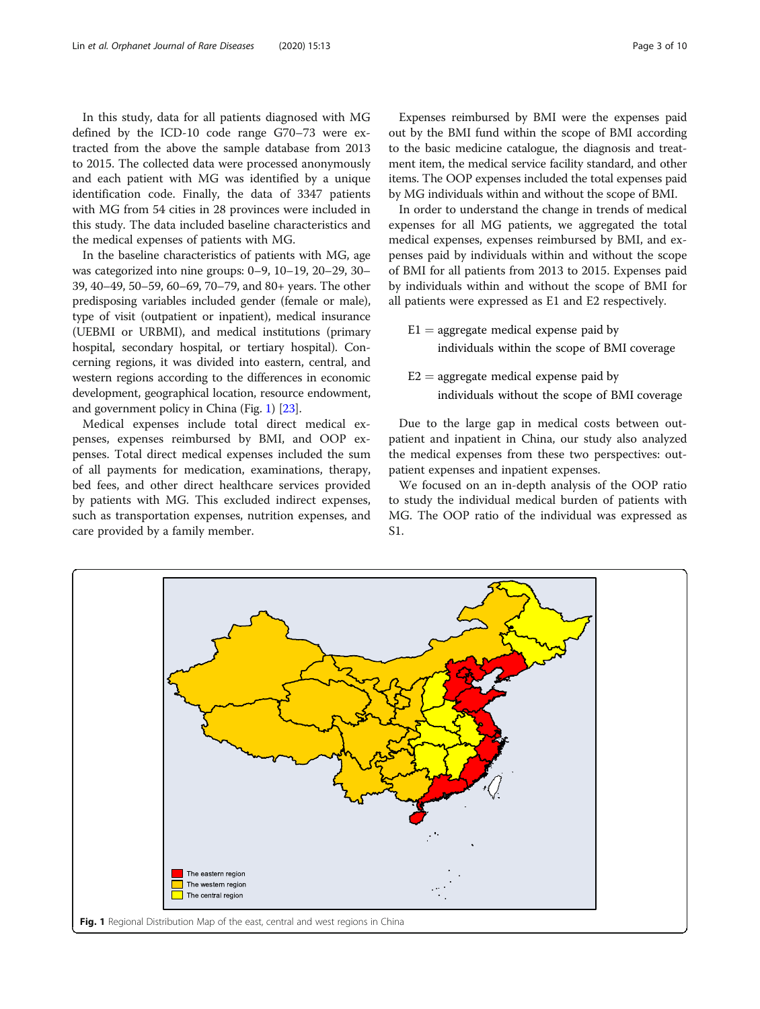In this study, data for all patients diagnosed with MG defined by the ICD-10 code range G70–73 were extracted from the above the sample database from 2013 to 2015. The collected data were processed anonymously and each patient with MG was identified by a unique identification code. Finally, the data of 3347 patients with MG from 54 cities in 28 provinces were included in this study. The data included baseline characteristics and the medical expenses of patients with MG.

In the baseline characteristics of patients with MG, age was categorized into nine groups: 0–9, 10–19, 20–29, 30– 39, 40–49, 50–59, 60–69, 70–79, and 80+ years. The other predisposing variables included gender (female or male), type of visit (outpatient or inpatient), medical insurance (UEBMI or URBMI), and medical institutions (primary hospital, secondary hospital, or tertiary hospital). Concerning regions, it was divided into eastern, central, and western regions according to the differences in economic development, geographical location, resource endowment, and government policy in China (Fig. 1) [[23](#page-9-0)].

Medical expenses include total direct medical expenses, expenses reimbursed by BMI, and OOP expenses. Total direct medical expenses included the sum of all payments for medication, examinations, therapy, bed fees, and other direct healthcare services provided by patients with MG. This excluded indirect expenses, such as transportation expenses, nutrition expenses, and care provided by a family member.

Expenses reimbursed by BMI were the expenses paid out by the BMI fund within the scope of BMI according to the basic medicine catalogue, the diagnosis and treatment item, the medical service facility standard, and other items. The OOP expenses included the total expenses paid by MG individuals within and without the scope of BMI.

In order to understand the change in trends of medical expenses for all MG patients, we aggregated the total medical expenses, expenses reimbursed by BMI, and expenses paid by individuals within and without the scope of BMI for all patients from 2013 to 2015. Expenses paid by individuals within and without the scope of BMI for all patients were expressed as E1 and E2 respectively.

- $E1 =$  aggregate medical expense paid by individuals within the scope of BMI coverage
- $E2 =$  aggregate medical expense paid by individuals without the scope of BMI coverage

Due to the large gap in medical costs between outpatient and inpatient in China, our study also analyzed the medical expenses from these two perspectives: outpatient expenses and inpatient expenses.

We focused on an in-depth analysis of the OOP ratio to study the individual medical burden of patients with MG. The OOP ratio of the individual was expressed as S1.

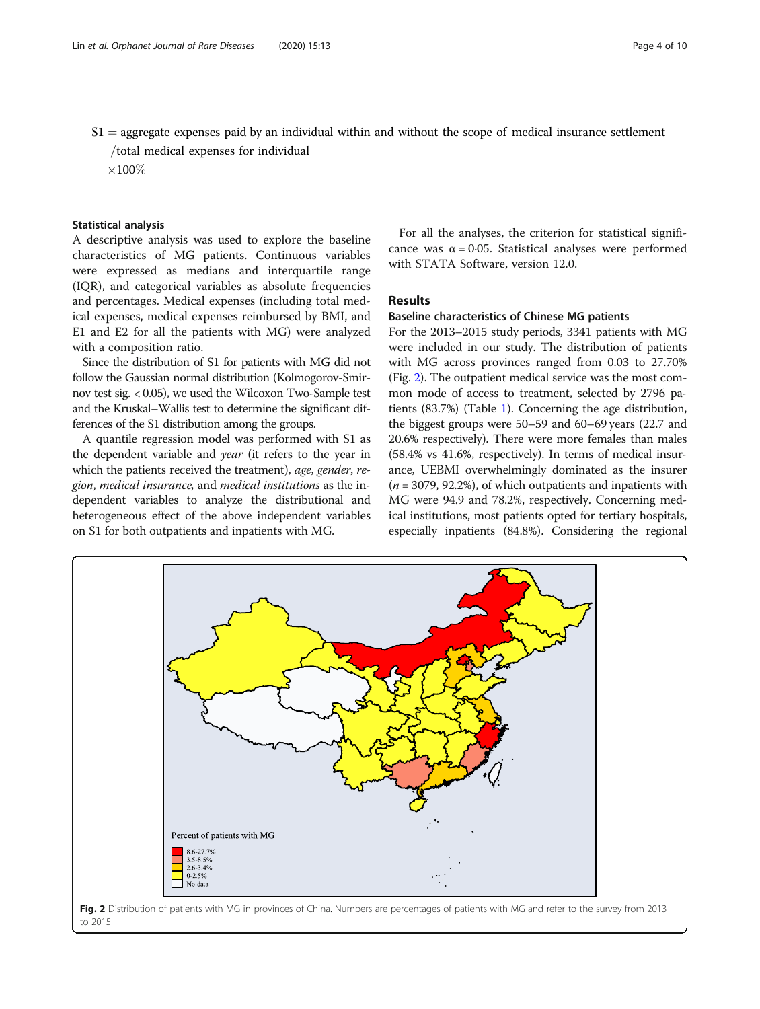$S1 =$  aggregate expenses paid by an individual within and without the scope of medical insurance settlement

/total medical expenses for individual

 $\times 100\%$ 

# Statistical analysis

A descriptive analysis was used to explore the baseline characteristics of MG patients. Continuous variables were expressed as medians and interquartile range (IQR), and categorical variables as absolute frequencies and percentages. Medical expenses (including total medical expenses, medical expenses reimbursed by BMI, and E1 and E2 for all the patients with MG) were analyzed with a composition ratio.

Since the distribution of S1 for patients with MG did not follow the Gaussian normal distribution (Kolmogorov-Smirnov test sig. < 0.05), we used the Wilcoxon Two-Sample test and the Kruskal–Wallis test to determine the significant differences of the S1 distribution among the groups.

A quantile regression model was performed with S1 as the dependent variable and year (it refers to the year in which the patients received the treatment), age, gender, region, medical insurance, and medical institutions as the independent variables to analyze the distributional and heterogeneous effect of the above independent variables on S1 for both outpatients and inpatients with MG.

For all the analyses, the criterion for statistical significance was  $\alpha = 0.05$ . Statistical analyses were performed with STATA Software, version 12.0.

# Results

# Baseline characteristics of Chinese MG patients

For the 2013–2015 study periods, 3341 patients with MG were included in our study. The distribution of patients with MG across provinces ranged from 0.03 to 27.70% (Fig. 2). The outpatient medical service was the most common mode of access to treatment, selected by 2796 patients (83.7%) (Table [1](#page-4-0)). Concerning the age distribution, the biggest groups were 50–59 and 60–69 years (22.7 and 20.6% respectively). There were more females than males (58.4% vs 41.6%, respectively). In terms of medical insurance, UEBMI overwhelmingly dominated as the insurer  $(n = 3079, 92.2\%)$ , of which outpatients and inpatients with MG were 94.9 and 78.2%, respectively. Concerning medical institutions, most patients opted for tertiary hospitals, especially inpatients (84.8%). Considering the regional



to 2015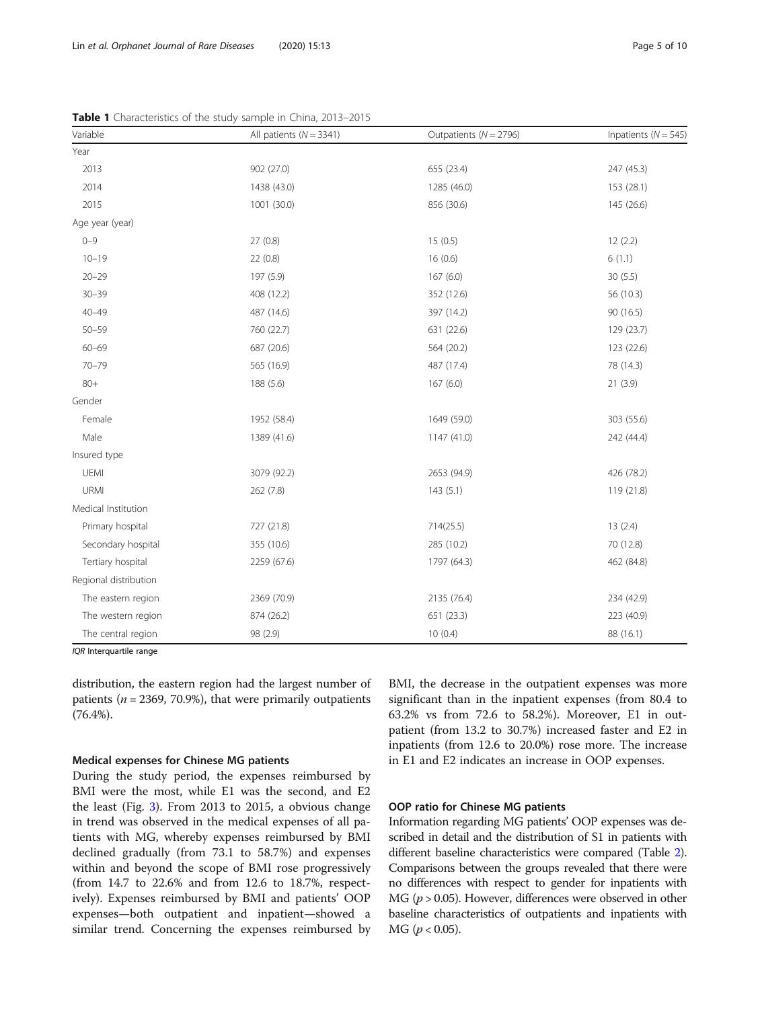| All patients ( $N = 3341$ ) | Outpatients ( $N = 2796$ ) | Inpatients ( $N = 545$ ) |
|-----------------------------|----------------------------|--------------------------|
|                             |                            |                          |
| 902 (27.0)                  | 655 (23.4)                 | 247 (45.3)               |
| 1438 (43.0)                 | 1285 (46.0)                | 153 (28.1)               |
| 1001 (30.0)                 | 856 (30.6)                 | 145 (26.6)               |
|                             |                            |                          |
| 27(0.8)                     | 15(0.5)                    | 12(2.2)                  |
| 22(0.8)                     | 16(0.6)                    | 6(1.1)                   |
| 197 (5.9)                   | 167(6.0)                   | 30(5.5)                  |
| 408 (12.2)                  | 352 (12.6)                 | 56 (10.3)                |
| 487 (14.6)                  | 397 (14.2)                 | 90 (16.5)                |
| 760 (22.7)                  | 631 (22.6)                 | 129 (23.7)               |
| 687 (20.6)                  | 564 (20.2)                 | 123 (22.6)               |
| 565 (16.9)                  | 487 (17.4)                 | 78 (14.3)                |
| 188 (5.6)                   | 167(6.0)                   | 21(3.9)                  |
|                             |                            |                          |
| 1952 (58.4)                 | 1649 (59.0)                | 303 (55.6)               |
| 1389 (41.6)                 | 1147 (41.0)                | 242 (44.4)               |
|                             |                            |                          |
| 3079 (92.2)                 | 2653 (94.9)                | 426 (78.2)               |
| 262 (7.8)                   | 143(5.1)                   | 119 (21.8)               |
|                             |                            |                          |
| 727 (21.8)                  | 714(25.5)                  | 13(2.4)                  |
| 355 (10.6)                  | 285 (10.2)                 | 70 (12.8)                |
| 2259 (67.6)                 | 1797 (64.3)                | 462 (84.8)               |
|                             |                            |                          |
| 2369 (70.9)                 | 2135 (76.4)                | 234 (42.9)               |
| 874 (26.2)                  | 651 (23.3)                 | 223 (40.9)               |
| 98 (2.9)                    | 10(0.4)                    | 88 (16.1)                |
|                             |                            |                          |

<span id="page-4-0"></span>Table 1 Characteristics of the study sample in China, 2013-2015

IQR Interquartile range

distribution, the eastern region had the largest number of patients ( $n = 2369, 70.9\%$ ), that were primarily outpatients (76.4%).

# Medical expenses for Chinese MG patients

During the study period, the expenses reimbursed by BMI were the most, while E1 was the second, and E2 the least (Fig. [3](#page-5-0)). From 2013 to 2015, a obvious change in trend was observed in the medical expenses of all patients with MG, whereby expenses reimbursed by BMI declined gradually (from 73.1 to 58.7%) and expenses within and beyond the scope of BMI rose progressively (from 14.7 to 22.6% and from 12.6 to 18.7%, respectively). Expenses reimbursed by BMI and patients' OOP expenses—both outpatient and inpatient—showed a similar trend. Concerning the expenses reimbursed by BMI, the decrease in the outpatient expenses was more significant than in the inpatient expenses (from 80.4 to 63.2% vs from 72.6 to 58.2%). Moreover, E1 in outpatient (from 13.2 to 30.7%) increased faster and E2 in inpatients (from 12.6 to 20.0%) rose more. The increase in E1 and E2 indicates an increase in OOP expenses.

# OOP ratio for Chinese MG patients

Information regarding MG patients' OOP expenses was described in detail and the distribution of S1 in patients with different baseline characteristics were compared (Table [2](#page-6-0)). Comparisons between the groups revealed that there were no differences with respect to gender for inpatients with MG ( $p > 0.05$ ). However, differences were observed in other baseline characteristics of outpatients and inpatients with  $MG (p < 0.05)$ .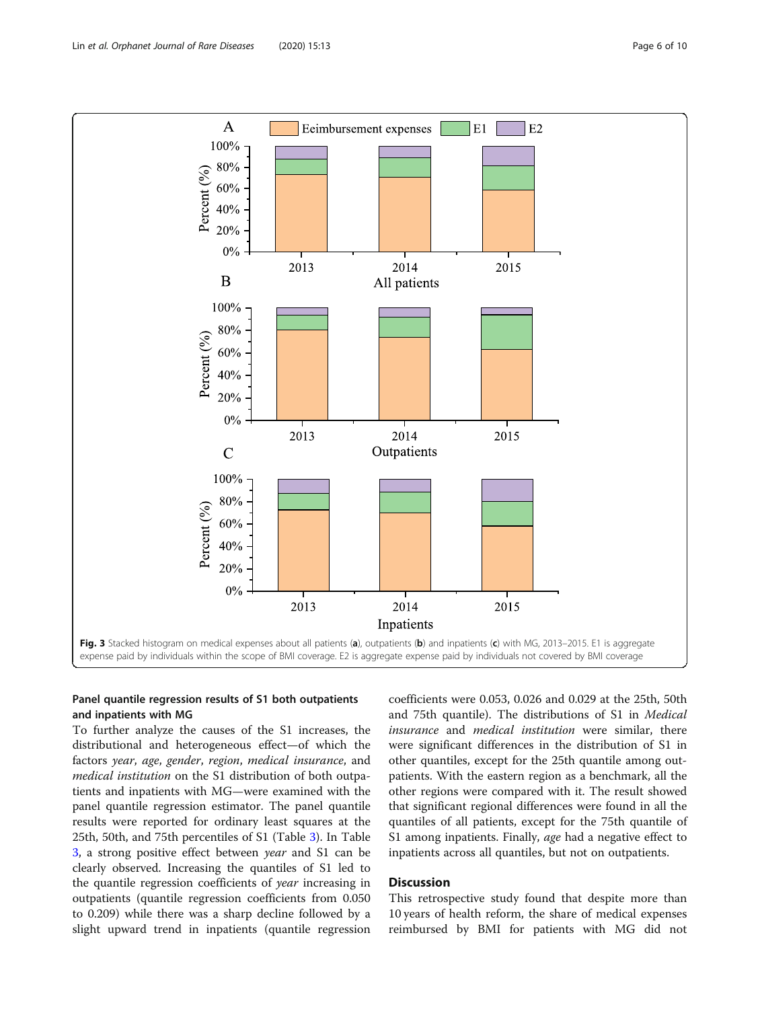<span id="page-5-0"></span>

# Panel quantile regression results of S1 both outpatients and inpatients with MG

To further analyze the causes of the S1 increases, the distributional and heterogeneous effect—of which the factors year, age, gender, region, medical insurance, and medical institution on the S1 distribution of both outpatients and inpatients with MG—were examined with the panel quantile regression estimator. The panel quantile results were reported for ordinary least squares at the 25th, 50th, and 75th percentiles of S1 (Table [3\)](#page-6-0). In Table [3,](#page-6-0) a strong positive effect between year and S1 can be clearly observed. Increasing the quantiles of S1 led to the quantile regression coefficients of year increasing in outpatients (quantile regression coefficients from 0.050 to 0.209) while there was a sharp decline followed by a slight upward trend in inpatients (quantile regression coefficients were 0.053, 0.026 and 0.029 at the 25th, 50th and 75th quantile). The distributions of S1 in Medical insurance and medical institution were similar, there were significant differences in the distribution of S1 in other quantiles, except for the 25th quantile among outpatients. With the eastern region as a benchmark, all the other regions were compared with it. The result showed that significant regional differences were found in all the quantiles of all patients, except for the 75th quantile of S1 among inpatients. Finally, *age* had a negative effect to inpatients across all quantiles, but not on outpatients.

# Discussion

This retrospective study found that despite more than 10 years of health reform, the share of medical expenses reimbursed by BMI for patients with MG did not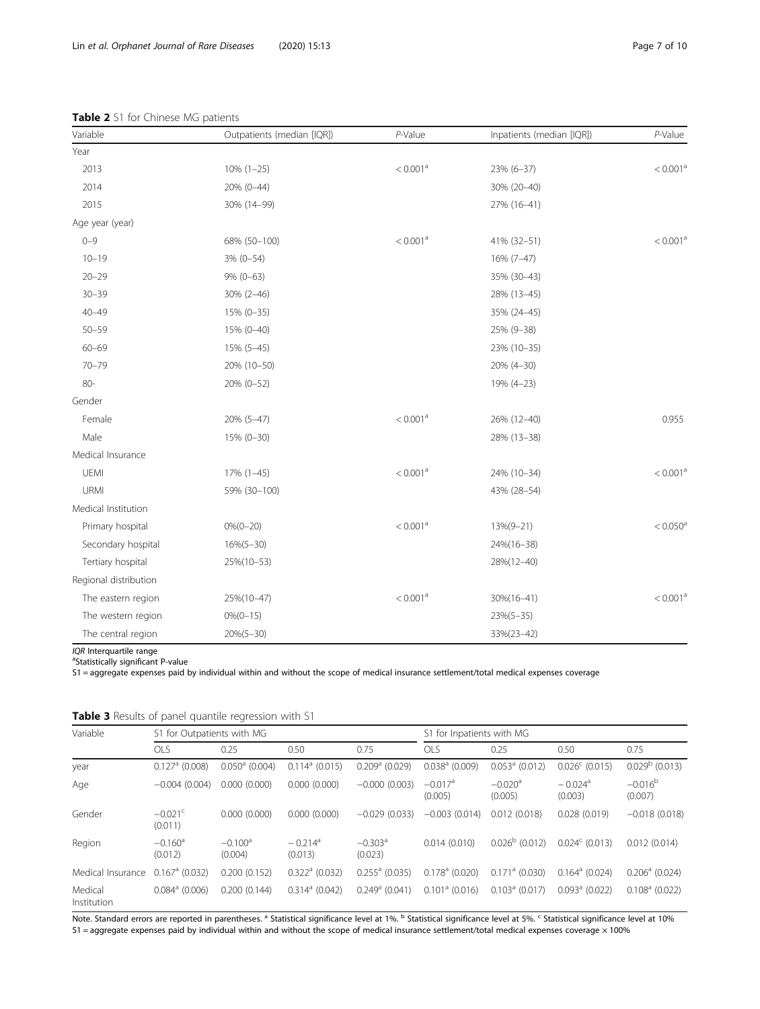| Variable              | Outpatients (median [IQR]) | P-Value              | Inpatients (median [IQR]) | $P$ -Value           |
|-----------------------|----------------------------|----------------------|---------------------------|----------------------|
| Year                  |                            |                      |                           |                      |
| 2013                  | $10\%$ $(1-25)$            | < 0.001 <sup>a</sup> | 23% (6-37)                | < 0.001 <sup>a</sup> |
| 2014                  | 20% (0-44)                 |                      | 30% (20-40)               |                      |
| 2015                  | 30% (14-99)                |                      | 27% (16-41)               |                      |
| Age year (year)       |                            |                      |                           |                      |
| $0 - 9$               | 68% (50-100)               | < 0.001 <sup>a</sup> | 41% (32-51)               | $< 0.001^{\rm a}$    |
| $10 - 19$             | $3\%$ (0-54)               |                      | 16% (7-47)                |                      |
| $20 - 29$             | $9\% (0-63)$               |                      | 35% (30-43)               |                      |
| $30 - 39$             | $30\% (2 - 46)$            |                      | 28% (13-45)               |                      |
| $40 - 49$             | 15% (0-35)                 |                      | 35% (24-45)               |                      |
| $50 - 59$             | 15% (0-40)                 |                      | 25% (9-38)                |                      |
| $60 - 69$             | 15% (5-45)                 |                      | 23% (10-35)               |                      |
| $70 - 79$             | 20% (10-50)                |                      | 20% (4-30)                |                      |
| $80 -$                | 20% (0-52)                 |                      | 19% (4-23)                |                      |
| Gender                |                            |                      |                           |                      |
| Female                | 20% (5-47)                 | < 0.001 <sup>a</sup> | 26% (12-40)               | 0.955                |
| Male                  | 15% (0-30)                 |                      | 28% (13-38)               |                      |
| Medical Insurance     |                            |                      |                           |                      |
| UEMI                  | 17% (1-45)                 | < 0.001 <sup>a</sup> | 24% (10-34)               | $< 0.001^{\rm a}$    |
| URMI                  | 59% (30-100)               |                      | 43% (28-54)               |                      |
| Medical Institution   |                            |                      |                           |                      |
| Primary hospital      | $0\%$ (0-20)               | < 0.001 <sup>a</sup> | $13\%(9-21)$              | $< 0.050^a$          |
| Secondary hospital    | $16\%(5-30)$               |                      | 24%(16-38)                |                      |
| Tertiary hospital     | 25%(10-53)                 |                      | 28%(12-40)                |                      |
| Regional distribution |                            |                      |                           |                      |
| The eastern region    | 25%(10-47)                 | < 0.001 <sup>a</sup> | 30%(16-41)                | $< 0.001^{\rm a}$    |
| The western region    | $0\%$ (0-15)               |                      | $23\%(5-35)$              |                      |
| The central region    | $20\%(5-30)$               |                      | 33%(23-42)                |                      |

# <span id="page-6-0"></span>Table 2 S1 for Chinese MG patients

 $IQR$  Interquartile range

<sup>a</sup>Statistically significant P-value

S1 = aggregate expenses paid by individual within and without the scope of medical insurance settlement/total medical expenses coverage

| <b>TWAIC 3</b> Results of parter guarrent regression with ST |                                  |                         |                                  |                                  |                                  |                                  |                                  |                         |
|--------------------------------------------------------------|----------------------------------|-------------------------|----------------------------------|----------------------------------|----------------------------------|----------------------------------|----------------------------------|-------------------------|
| Variable                                                     | S1 for Outpatients with MG       |                         |                                  | S1 for Inpatients with MG        |                                  |                                  |                                  |                         |
|                                                              | <b>OLS</b>                       | 0.25                    | 0.50                             | 0.75                             | <b>OLS</b>                       | 0.25                             | 0.50                             | 0.75                    |
| year                                                         | $0.127$ <sup>a</sup> (0.008)     | $0.050^{\circ}$ (0.004) | $0.114^a$ (0.015)                | $0.209a$ (0.029)                 | $0.038a$ (0.009)                 | $0.053a$ (0.012)                 | $0.026^{\circ}$ (0.015)          | $0.029b$ (0.013)        |
| Age                                                          | $-0.004(0.004)$                  | 0.000(0.000)            | 0.000(0.000)                     | $-0.000(0.003)$                  | $-0.017$ <sup>a</sup><br>(0.005) | $-0.020$ <sup>a</sup><br>(0.005) | $-0.024$ <sup>a</sup><br>(0.003) | $-0.016^{b}$<br>(0.007) |
| Gender                                                       | $-0.021$ <sup>c</sup><br>(0.011) | 0.000(0.000)            | 0.000(0.000)                     | $-0.029(0.033)$                  | $-0.003(0.014)$                  | 0.012(0.018)                     | 0.028(0.019)                     | $-0.018(0.018)$         |
| Region                                                       | $-0.160$ <sup>a</sup><br>(0.012) | $-0.100^a$<br>(0.004)   | $-0.214$ <sup>a</sup><br>(0.013) | $-0.303$ <sup>a</sup><br>(0.023) | 0.014(0.010)                     | $0.026^{\rm b}$ (0.012)          | $0.024^{\circ}$ (0.013)          | 0.012(0.014)            |
| Medical Insurance                                            | $0.167$ <sup>a</sup> (0.032)     | 0.200(0.152)            | $0.322a$ (0.032)                 | $0.255^a$ (0.035)                | $0.178^a$ (0.020)                | $0.171$ <sup>a</sup> (0.030)     | $0.164^a$ (0.024)                | $0.206a$ (0.024)        |
| Medical<br>Institution                                       | $0.084$ <sup>a</sup> (0.006)     | 0.200(0.144)            | $0.314^a$ (0.042)                | $0.249a$ (0.041)                 | $0.101a$ (0.016)                 | $0.103^a$ (0.017)                | $0.093$ <sup>a</sup> (0.022)     | $0.108a$ (0.022)        |

|  |  | Table 3 Results of panel quantile regression with S1 |  |
|--|--|------------------------------------------------------|--|

Note. Standard errors are reported in parentheses.<sup>a</sup> Statistical significance level at 1%. <sup>b</sup> Statistical significance level at 5%. <sup>c</sup> Statistical significance level at 10% S1 = aggregate expenses paid by individual within and without the scope of medical insurance settlement/total medical expenses coverage × 100%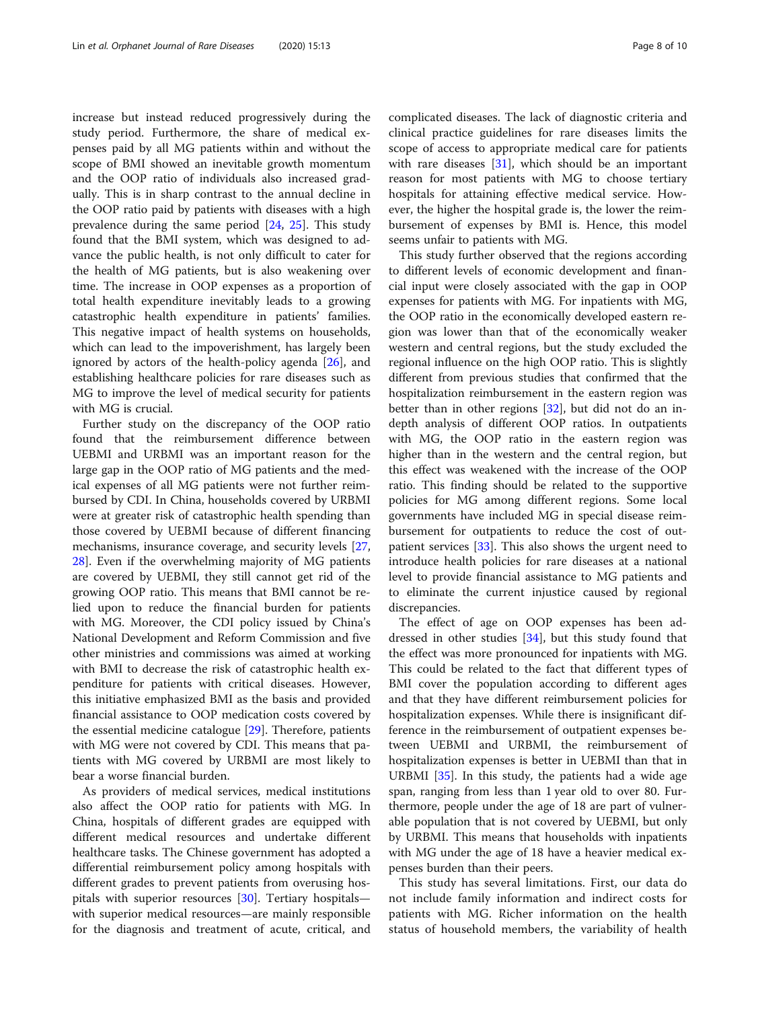increase but instead reduced progressively during the study period. Furthermore, the share of medical expenses paid by all MG patients within and without the scope of BMI showed an inevitable growth momentum and the OOP ratio of individuals also increased gradually. This is in sharp contrast to the annual decline in the OOP ratio paid by patients with diseases with a high prevalence during the same period [[24,](#page-9-0) [25\]](#page-9-0). This study found that the BMI system, which was designed to advance the public health, is not only difficult to cater for the health of MG patients, but is also weakening over time. The increase in OOP expenses as a proportion of total health expenditure inevitably leads to a growing catastrophic health expenditure in patients' families. This negative impact of health systems on households, which can lead to the impoverishment, has largely been ignored by actors of the health-policy agenda [\[26](#page-9-0)], and establishing healthcare policies for rare diseases such as MG to improve the level of medical security for patients with MG is crucial.

Further study on the discrepancy of the OOP ratio found that the reimbursement difference between UEBMI and URBMI was an important reason for the large gap in the OOP ratio of MG patients and the medical expenses of all MG patients were not further reimbursed by CDI. In China, households covered by URBMI were at greater risk of catastrophic health spending than those covered by UEBMI because of different financing mechanisms, insurance coverage, and security levels [[27](#page-9-0), [28\]](#page-9-0). Even if the overwhelming majority of MG patients are covered by UEBMI, they still cannot get rid of the growing OOP ratio. This means that BMI cannot be relied upon to reduce the financial burden for patients with MG. Moreover, the CDI policy issued by China's National Development and Reform Commission and five other ministries and commissions was aimed at working with BMI to decrease the risk of catastrophic health expenditure for patients with critical diseases. However, this initiative emphasized BMI as the basis and provided financial assistance to OOP medication costs covered by the essential medicine catalogue [[29\]](#page-9-0). Therefore, patients with MG were not covered by CDI. This means that patients with MG covered by URBMI are most likely to bear a worse financial burden.

As providers of medical services, medical institutions also affect the OOP ratio for patients with MG. In China, hospitals of different grades are equipped with different medical resources and undertake different healthcare tasks. The Chinese government has adopted a differential reimbursement policy among hospitals with different grades to prevent patients from overusing hospitals with superior resources [[30\]](#page-9-0). Tertiary hospitals with superior medical resources—are mainly responsible for the diagnosis and treatment of acute, critical, and complicated diseases. The lack of diagnostic criteria and clinical practice guidelines for rare diseases limits the scope of access to appropriate medical care for patients with rare diseases  $[31]$  $[31]$ , which should be an important reason for most patients with MG to choose tertiary hospitals for attaining effective medical service. However, the higher the hospital grade is, the lower the reimbursement of expenses by BMI is. Hence, this model seems unfair to patients with MG.

This study further observed that the regions according to different levels of economic development and financial input were closely associated with the gap in OOP expenses for patients with MG. For inpatients with MG, the OOP ratio in the economically developed eastern region was lower than that of the economically weaker western and central regions, but the study excluded the regional influence on the high OOP ratio. This is slightly different from previous studies that confirmed that the hospitalization reimbursement in the eastern region was better than in other regions [[32](#page-9-0)], but did not do an indepth analysis of different OOP ratios. In outpatients with MG, the OOP ratio in the eastern region was higher than in the western and the central region, but this effect was weakened with the increase of the OOP ratio. This finding should be related to the supportive policies for MG among different regions. Some local governments have included MG in special disease reimbursement for outpatients to reduce the cost of outpatient services [\[33](#page-9-0)]. This also shows the urgent need to introduce health policies for rare diseases at a national level to provide financial assistance to MG patients and to eliminate the current injustice caused by regional discrepancies.

The effect of age on OOP expenses has been addressed in other studies  $[34]$  $[34]$  $[34]$ , but this study found that the effect was more pronounced for inpatients with MG. This could be related to the fact that different types of BMI cover the population according to different ages and that they have different reimbursement policies for hospitalization expenses. While there is insignificant difference in the reimbursement of outpatient expenses between UEBMI and URBMI, the reimbursement of hospitalization expenses is better in UEBMI than that in URBMI [\[35](#page-9-0)]. In this study, the patients had a wide age span, ranging from less than 1 year old to over 80. Furthermore, people under the age of 18 are part of vulnerable population that is not covered by UEBMI, but only by URBMI. This means that households with inpatients with MG under the age of 18 have a heavier medical expenses burden than their peers.

This study has several limitations. First, our data do not include family information and indirect costs for patients with MG. Richer information on the health status of household members, the variability of health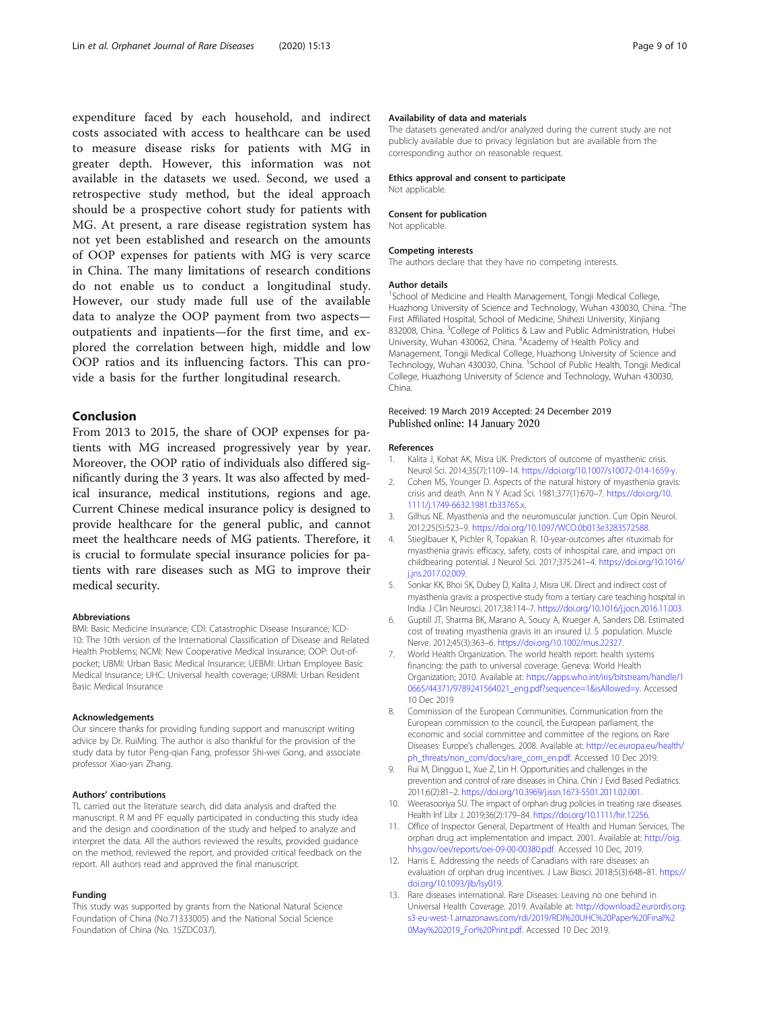<span id="page-8-0"></span>expenditure faced by each household, and indirect costs associated with access to healthcare can be used to measure disease risks for patients with MG in greater depth. However, this information was not available in the datasets we used. Second, we used a retrospective study method, but the ideal approach should be a prospective cohort study for patients with MG. At present, a rare disease registration system has not yet been established and research on the amounts of OOP expenses for patients with MG is very scarce in China. The many limitations of research conditions do not enable us to conduct a longitudinal study. However, our study made full use of the available data to analyze the OOP payment from two aspects outpatients and inpatients—for the first time, and explored the correlation between high, middle and low OOP ratios and its influencing factors. This can provide a basis for the further longitudinal research.

# Conclusion

From 2013 to 2015, the share of OOP expenses for patients with MG increased progressively year by year. Moreover, the OOP ratio of individuals also differed significantly during the 3 years. It was also affected by medical insurance, medical institutions, regions and age. Current Chinese medical insurance policy is designed to provide healthcare for the general public, and cannot meet the healthcare needs of MG patients. Therefore, it is crucial to formulate special insurance policies for patients with rare diseases such as MG to improve their medical security.

#### Abbreviations

BMI: Basic Medicine Insurance; CDI: Catastrophic Disease Insurance; ICD-10: The 10th version of the International Classification of Disease and Related Health Problems; NCMI: New Cooperative Medical Insurance; OOP: Out-ofpocket; UBMI: Urban Basic Medical Insurance; UEBMI: Urban Employee Basic Medical Insurance; UHC: Universal health coverage; URBMI: Urban Resident Basic Medical Insurance

#### Acknowledgements

Our sincere thanks for providing funding support and manuscript writing advice by Dr. RuiMing. The author is also thankful for the provision of the study data by tutor Peng-qian Fang, professor Shi-wei Gong, and associate professor Xiao-yan Zhang.

#### Authors' contributions

TL carried out the literature search, did data analysis and drafted the manuscript. R M and PF equally participated in conducting this study idea and the design and coordination of the study and helped to analyze and interpret the data. All the authors reviewed the results, provided guidance on the method, reviewed the report, and provided critical feedback on the report. All authors read and approved the final manuscript.

#### Funding

This study was supported by grants from the National Natural Science Foundation of China (No.71333005) and the National Social Science Foundation of China (No. 15ZDC037).

### Availability of data and materials

The datasets generated and/or analyzed during the current study are not publicly available due to privacy legislation but are available from the corresponding author on reasonable request.

#### Ethics approval and consent to participate

Not applicable.

#### Consent for publication

Not applicable.

#### Competing interests

The authors declare that they have no competing interests.

#### Author details

<sup>1</sup>School of Medicine and Health Management, Tongji Medical College, Huazhong University of Science and Technology, Wuhan 430030, China. <sup>2</sup>The First Affiliated Hospital, School of Medicine, Shihezi University, Xinjiang 832008, China. <sup>3</sup>College of Politics & Law and Public Administration, Hubei University, Wuhan 430062, China. <sup>4</sup>Academy of Health Policy and Management, Tongji Medical College, Huazhong University of Science and Technology, Wuhan 430030, China. <sup>5</sup>School of Public Health, Tongji Medical College, Huazhong University of Science and Technology, Wuhan 430030, China.

# Received: 19 March 2019 Accepted: 24 December 2019 Published online: 14 January 2020

#### References

- 1. Kalita J, Kohat AK, Misra UK. Predictors of outcome of myasthenic crisis. Neurol Sci. 2014;35(7):1109–14. [https://doi.org/10.1007/s10072-014-1659-y.](https://doi.org/10.1007/s10072-014-1659-y)
- 2. Cohen MS, Younger D. Aspects of the natural history of myasthenia gravis: crisis and death. Ann N Y Acad Sci. 1981;377(1):670–7. [https://doi.org/10.](https://doi.org/10.1111/j.1749-6632.1981.tb33765.x) [1111/j.1749-6632.1981.tb33765.x](https://doi.org/10.1111/j.1749-6632.1981.tb33765.x).
- 3. Gilhus NE. Myasthenia and the neuromuscular junction. Curr Opin Neurol. 2012;25(5):523–9. <https://doi.org/10.1097/WCO.0b013e3283572588>.
- 4. Stieglbauer K, Pichler R, Topakian R. 10-year-outcomes after rituximab for myasthenia gravis: efficacy, safety, costs of inhospital care, and impact on childbearing potential. J Neurol Sci. 2017;375:241–4. [https://doi.org/10.1016/](https://doi.org/10.1016/j.jns.2017.02.009) i.jns.2017.02.009
- 5. Sonkar KK, Bhoi SK, Dubey D, Kalita J, Misra UK. Direct and indirect cost of myasthenia gravis: a prospective study from a tertiary care teaching hospital in India. J Clin Neurosci. 2017;38:114–7. <https://doi.org/10.1016/j.jocn.2016.11.003>.
- 6. Guptill JT, Sharma BK, Marano A, Soucy A, Krueger A, Sanders DB. Estimated cost of treating myasthenia gravis in an insured U. S .population. Muscle Nerve. 2012;45(3):363–6. [https://doi.org/10.1002/mus.22327.](https://doi.org/10.1002/mus.22327)
- 7. World Health Organization. The world health report: health systems financing: the path to universal coverage. Geneva: World Health Organization; 2010. Available at: [https://apps.who.int/iris/bitstream/handle/1](https://apps.who.int/iris/bitstream/handle/10665/44371/9789241564021_eng.pdf?sequence=1&isAllowed=y) [0665/44371/9789241564021\\_eng.pdf?sequence=1&isAllowed=y](https://apps.who.int/iris/bitstream/handle/10665/44371/9789241564021_eng.pdf?sequence=1&isAllowed=y). Accessed 10 Dec 2019
- 8. Commission of the European Communities. Communication from the European commission to the council, the European parliament, the economic and social committee and committee of the regions on Rare Diseases: Europe's challenges. 2008. Available at: [http://ec.europa.eu/health/](http://ec.europa.eu/health/ph_threats/non_com/docs/rare_com_en.pdf) [ph\\_threats/non\\_com/docs/rare\\_com\\_en.pdf](http://ec.europa.eu/health/ph_threats/non_com/docs/rare_com_en.pdf). Accessed 10 Dec 2019.
- 9. Rui M, Dingguo L, Xue Z, Lin H. Opportunities and challenges in the prevention and control of rare diseases in China. Chin J Evid Based Pediatrics. 2011;6(2):81–2. <https://doi.org/10.3969/j.issn.1673-5501.2011.02.001>.
- 10. Weerasooriya SU. The impact of orphan drug policies in treating rare diseases. Health Inf Libr J. 2019;36(2):179–84. [https://doi.org/10.1111/hir.12256.](https://doi.org/10.1111/hir.12256)
- 11. Office of Inspector General, Department of Health and Human Services, The orphan drug act implementation and impact. 2001. Available at: [http://oig.](http://oig.hhs.gov/oei/reports/oei-09-00-00380.pdf) [hhs.gov/oei/reports/oei-09-00-00380.pdf](http://oig.hhs.gov/oei/reports/oei-09-00-00380.pdf). Accessed 10 Dec, 2019.
- 12. Harris E. Addressing the needs of Canadians with rare diseases: an evaluation of orphan drug incentives. J Law Biosci. 2018;5(3):648–81. [https://](https://doi.org/10.1093/jlb/lsy019) [doi.org/10.1093/jlb/lsy019.](https://doi.org/10.1093/jlb/lsy019)
- 13. Rare diseases international. Rare Diseases: Leaving no one behind in Universal Health Coverage. 2019. Available at: [http://download2.eurordis.org.](http://download2.eurordis.org.s3-eu-west-1.amazonaws.com/rdi/2019/RDI%20UHC%20Paper%20Final%20May%202019_For%20Print.pdf) [s3-eu-west-1.amazonaws.com/rdi/2019/RDI%20UHC%20Paper%20Final%2](http://download2.eurordis.org.s3-eu-west-1.amazonaws.com/rdi/2019/RDI%20UHC%20Paper%20Final%20May%202019_For%20Print.pdf) [0May%202019\\_For%20Print.pdf](http://download2.eurordis.org.s3-eu-west-1.amazonaws.com/rdi/2019/RDI%20UHC%20Paper%20Final%20May%202019_For%20Print.pdf). Accessed 10 Dec 2019.